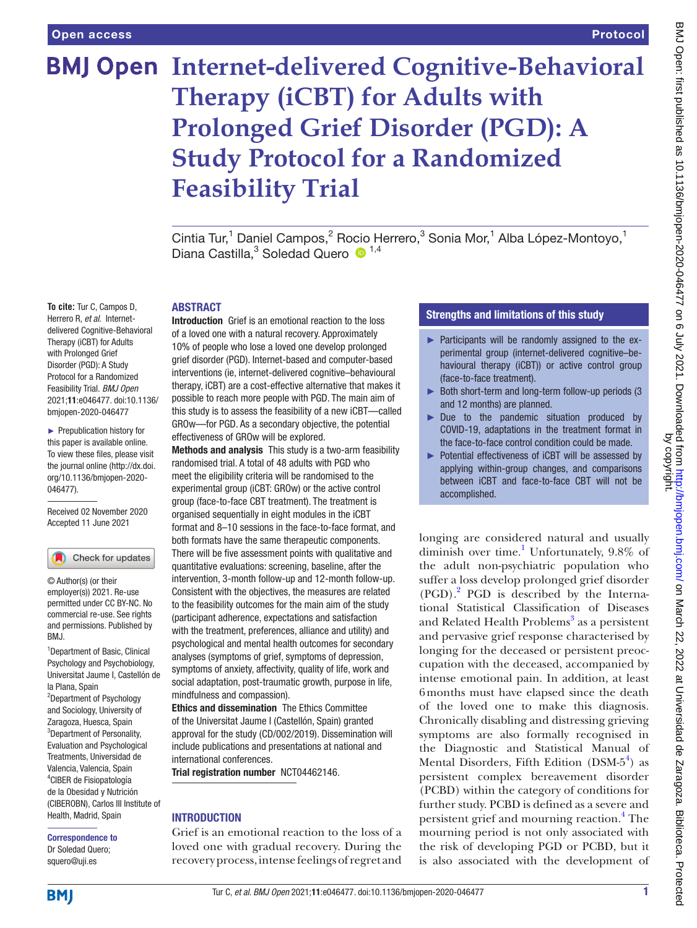# Protocol

# **BMJ Open Internet-delivered Cognitive-Behavioral Therapy (iCBT) for Adults with Prolonged Grief Disorder (PGD): A Study Protocol for a Randomized Feasibility Trial**

Cintia Tur,<sup>1</sup> Daniel Campos,<sup>2</sup> Rocio Herrero,<sup>3</sup> Sonia Mor,<sup>1</sup> Alba López-Montoyo,<sup>1</sup> Diana Castilla,<sup>3</sup> Soledad Quero <sup>1,4</sup>

#### ABSTRACT

**To cite:** Tur C, Campos D, Herrero R, *et al*. Internetdelivered Cognitive-Behavioral Therapy (iCBT) for Adults with Prolonged Grief Disorder (PGD): A Study Protocol for a Randomized Feasibility Trial. *BMJ Open* 2021;11:e046477. doi:10.1136/ bmjopen-2020-046477

► Prepublication history for this paper is available online. To view these files, please visit the journal online [\(http://dx.doi.](http://dx.doi.org/10.1136/bmjopen-2020-046477) [org/10.1136/bmjopen-2020-](http://dx.doi.org/10.1136/bmjopen-2020-046477) [046477\)](http://dx.doi.org/10.1136/bmjopen-2020-046477).

Received 02 November 2020 Accepted 11 June 2021



© Author(s) (or their employer(s)) 2021. Re-use permitted under CC BY-NC. No commercial re-use. See rights and permissions. Published by BMJ.

1 Department of Basic, Clinical Psychology and Psychobiology, Universitat Jaume I, Castellón de la Plana, Spain <sup>2</sup>Department of Psychology and Sociology, University of Zaragoza, Huesca, Spain <sup>3</sup>Department of Personality, Evaluation and Psychological Treatments, Universidad de Valencia, Valencia, Spain 4 CIBER de Fisiopatología de la Obesidad y Nutrición (CIBEROBN), Carlos III Institute of Health, Madrid, Spain

Correspondence to Dr Soledad Quero; squero@uji.es

Introduction Grief is an emotional reaction to the loss of a loved one with a natural recovery. Approximately 10% of people who lose a loved one develop prolonged grief disorder (PGD). Internet-based and computer-based interventions (ie, internet-delivered cognitive–behavioural therapy, iCBT) are a cost-effective alternative that makes it possible to reach more people with PGD. The main aim of this study is to assess the feasibility of a new iCBT—called GROw—for PGD. As a secondary objective, the potential effectiveness of GROw will be explored.

Methods and analysis This study is a two-arm feasibility randomised trial. A total of 48 adults with PGD who meet the eligibility criteria will be randomised to the experimental group (iCBT: GROw) or the active control group (face-to-face CBT treatment). The treatment is organised sequentially in eight modules in the iCBT format and 8–10 sessions in the face-to-face format, and both formats have the same therapeutic components. There will be five assessment points with qualitative and quantitative evaluations: screening, baseline, after the intervention, 3-month follow-up and 12-month follow-up. Consistent with the objectives, the measures are related to the feasibility outcomes for the main aim of the study (participant adherence, expectations and satisfaction with the treatment, preferences, alliance and utility) and psychological and mental health outcomes for secondary analyses (symptoms of grief, symptoms of depression, symptoms of anxiety, affectivity, quality of life, work and social adaptation, post-traumatic growth, purpose in life, mindfulness and compassion).

Ethics and dissemination The Ethics Committee of the Universitat Jaume I (Castellón, Spain) granted approval for the study (CD/002/2019). Dissemination will include publications and presentations at national and international conferences.

Trial registration number <NCT04462146>.

# **INTRODUCTION**

Grief is an emotional reaction to the loss of a loved one with gradual recovery. During the recovery process, intense feelings of regret and

# Strengths and limitations of this study

- ► Participants will be randomly assigned to the experimental group (internet-delivered cognitive–behavioural therapy (iCBT)) or active control group (face-to-face treatment).
- ► Both short-term and long-term follow-up periods (3 and 12 months) are planned.
- ► Due to the pandemic situation produced by COVID-19, adaptations in the treatment format in the face-to-face control condition could be made.
- ► Potential effectiveness of iCBT will be assessed by applying within-group changes, and comparisons between iCBT and face-to-face CBT will not be accomplished.

longing are considered natural and usually diminish over time.<sup>[1](#page-7-0)</sup> Unfortunately, 9.8% of the adult non-psychiatric population who suffer a loss develop prolonged grief disorder (PGD)[.2](#page-7-1) PGD is described by the International Statistical Classification of Diseases and Related Health Problems<sup>[3](#page-7-2)</sup> as a persistent and pervasive grief response characterised by longing for the deceased or persistent preoccupation with the deceased, accompanied by intense emotional pain. In addition, at least 6months must have elapsed since the death of the loved one to make this diagnosis. Chronically disabling and distressing grieving symptoms are also formally recognised in the Diagnostic and Statistical Manual of Mental Disorders, Fifth Edition (DSM- $5^4$  $5^4$ ) as persistent complex bereavement disorder (PCBD) within the category of conditions for further study. PCBD is defined as a severe and persistent grief and mourning reaction.<sup>[4](#page-7-3)</sup> The mourning period is not only associated with the risk of developing PGD or PCBD, but it is also associated with the development of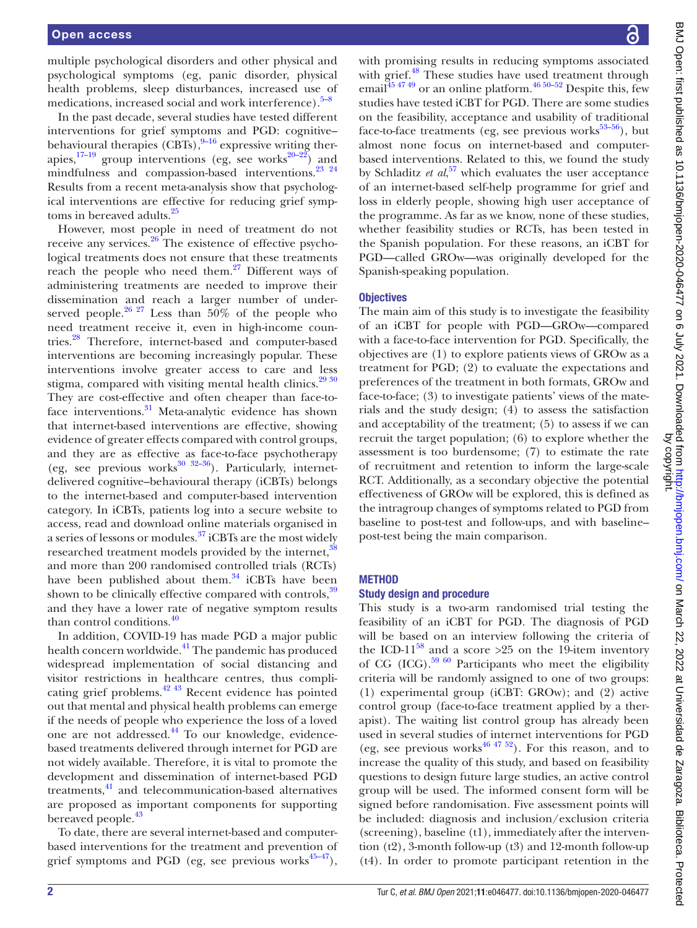multiple psychological disorders and other physical and psychological symptoms (eg, panic disorder, physical health problems, sleep disturbances, increased use of medications, increased social and work interference). $5-8$ 

In the past decade, several studies have tested different interventions for grief symptoms and PGD: cognitive– behavioural therapies  $(CBTs)$ ,<sup>[9–16](#page-8-1)</sup> expressive writing therapies, $17-19$  group interventions (eg, see works<sup>20–22</sup>) and mindfulness and compassion-based interventions.<sup>23</sup> <sup>24</sup> Results from a recent meta-analysis show that psychological interventions are effective for reducing grief symp-toms in bereaved adults.<sup>[25](#page-8-5)</sup>

However, most people in need of treatment do not receive any services.[26](#page-8-6) The existence of effective psychological treatments does not ensure that these treatments reach the people who need them. $27$  Different ways of administering treatments are needed to improve their dissemination and reach a larger number of underserved people.<sup>26 27</sup> Less than 50% of the people who need treatment receive it, even in high-income countries.[28](#page-8-8) Therefore, internet-based and computer-based interventions are becoming increasingly popular. These interventions involve greater access to care and less stigma, compared with visiting mental health clinics.<sup>29 30</sup> They are cost-effective and often cheaper than face-to-face interventions.<sup>[31](#page-8-10)</sup> Meta-analytic evidence has shown that internet-based interventions are effective, showing evidence of greater effects compared with control groups, and they are as effective as face-to-face psychotherapy (eg, see previous works $30 \frac{32-36}{2}$ ). Particularly, internetdelivered cognitive–behavioural therapy (iCBTs) belongs to the internet-based and computer-based intervention category. In iCBTs, patients log into a secure website to access, read and download online materials organised in a series of lessons or modules.[37](#page-8-12) iCBTs are the most widely researched treatment models provided by the internet,<sup>38</sup> and more than 200 randomised controlled trials (RCTs) have been published about them. $34$  iCBTs have been shown to be clinically effective compared with controls,  $39$ and they have a lower rate of negative symptom results than control conditions.<sup>[40](#page-8-16)</sup>

In addition, COVID-19 has made PGD a major public health concern worldwide.<sup>41</sup> The pandemic has produced widespread implementation of social distancing and visitor restrictions in healthcare centres, thus compli-cating grief problems.<sup>[42 43](#page-8-18)</sup> Recent evidence has pointed out that mental and physical health problems can emerge if the needs of people who experience the loss of a loved one are not addressed.<sup>44</sup> To our knowledge, evidencebased treatments delivered through internet for PGD are not widely available. Therefore, it is vital to promote the development and dissemination of internet-based PGD treatments,<sup>41</sup> and telecommunication-based alternatives are proposed as important components for supporting bereaved people.<sup>[43](#page-8-20)</sup>

To date, there are several internet-based and computerbased interventions for the treatment and prevention of grief symptoms and PGD (eg, see previous works $45-47$ ),

BMJ Open: first published as 10.1136/bmjopen-2020-046477 on 6 July 2021. Downloaded from http://bmjopen.bmj.com/ on March 22, 2022 at Universidad de Zaragoza. Biblioteca. Protected<br>by copenting the state of the control of BMJ Open: first published as 10.1136/bmjopen-2020-046477 on 6 July 2021. Downloaded from <http://bmjopen.bmj.com/> on March 22, 2022 at Universidad de Zaragoza. Biblioteca. Protected by copyright.

with promising results in reducing symptoms associated with grief.<sup>48</sup> These studies have used treatment through email $45\frac{4749}{9}$  or an online platform.<sup>46 50–52</sup> Despite this, few studies have tested iCBT for PGD. There are some studies on the feasibility, acceptance and usability of traditional face-to-face treatments (eg, see previous works $53-56$ ), but almost none focus on internet-based and computerbased interventions. Related to this, we found the study by Schladitz *et al*, [57](#page-9-0) which evaluates the user acceptance of an internet-based self-help programme for grief and loss in elderly people, showing high user acceptance of the programme. As far as we know, none of these studies, whether feasibility studies or RCTs, has been tested in the Spanish population. For these reasons, an iCBT for PGD—called GROw—was originally developed for the Spanish-speaking population.

#### **Objectives**

The main aim of this study is to investigate the feasibility of an iCBT for people with PGD—GROw—compared with a face-to-face intervention for PGD. Specifically, the objectives are (1) to explore patients views of GROw as a treatment for PGD; (2) to evaluate the expectations and preferences of the treatment in both formats, GROw and face-to-face; (3) to investigate patients' views of the materials and the study design; (4) to assess the satisfaction and acceptability of the treatment; (5) to assess if we can recruit the target population; (6) to explore whether the assessment is too burdensome; (7) to estimate the rate of recruitment and retention to inform the large-scale RCT. Additionally, as a secondary objective the potential effectiveness of GROw will be explored, this is defined as the intragroup changes of symptoms related to PGD from baseline to post-test and follow-ups, and with baseline– post-test being the main comparison.

#### **METHOD**

#### Study design and procedure

This study is a two-arm randomised trial testing the feasibility of an iCBT for PGD. The diagnosis of PGD will be based on an interview following the criteria of the ICD-11<sup>58</sup> and a score >25 on the 19-item inventory of CG (ICG).<sup>59 60</sup> Participants who meet the eligibility criteria will be randomly assigned to one of two groups: (1) experimental group (iCBT: GROw); and (2) active control group (face-to-face treatment applied by a therapist). The waiting list control group has already been used in several studies of internet interventions for PGD (eg, see previous works<sup>46 47 52</sup>). For this reason, and to increase the quality of this study, and based on feasibility questions to design future large studies, an active control group will be used. The informed consent form will be signed before randomisation. Five assessment points will be included: diagnosis and inclusion/exclusion criteria (screening), baseline (t1), immediately after the intervention (t2), 3-month follow-up (t3) and 12-month follow-up (t4). In order to promote participant retention in the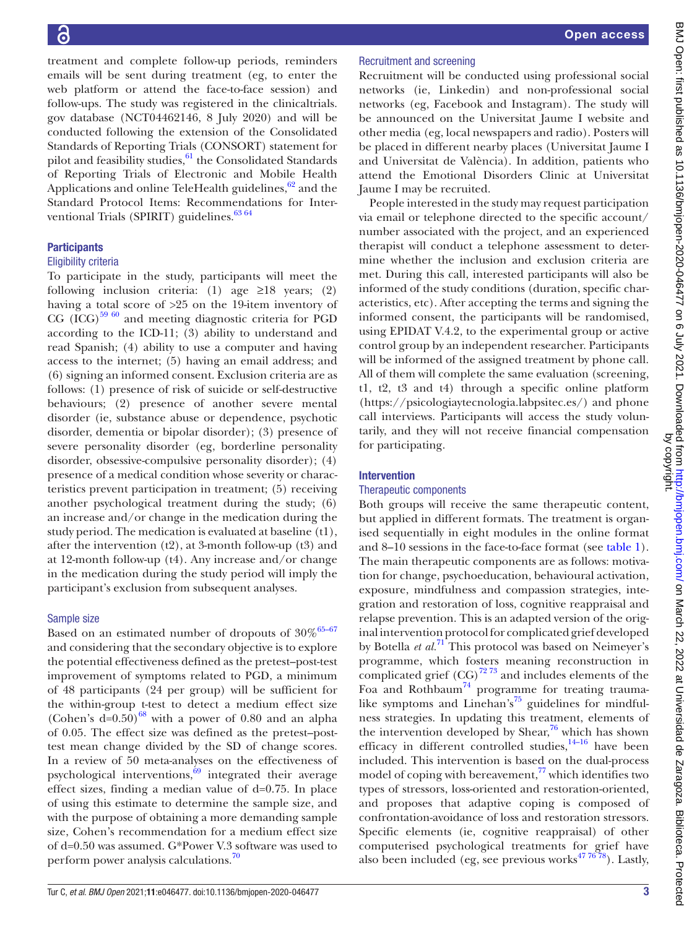treatment and complete follow-up periods, reminders emails will be sent during treatment (eg, to enter the web platform or attend the face-to-face session) and follow-ups. The study was registered in the clinicaltrials. gov database (NCT04462146, 8 July 2020) and will be conducted following the extension of the Consolidated Standards of Reporting Trials (CONSORT) statement for pilot and feasibility studies, $61$  the Consolidated Standards of Reporting Trials of Electronic and Mobile Health Applications and online TeleHealth guidelines, $62$  and the Standard Protocol Items: Recommendations for Interventional Trials (SPIRIT) guidelines.<sup>63 64</sup>

# **Participants**

# Eligibility criteria

To participate in the study, participants will meet the following inclusion criteria: (1) age  $\geq 18$  years; (2) having a total score of >25 on the 19-item inventory of CG  ${(\text{ICG})}^{59\;60}$  and meeting diagnostic criteria for PGD according to the ICD-11; (3) ability to understand and read Spanish; (4) ability to use a computer and having access to the internet; (5) having an email address; and (6) signing an informed consent. Exclusion criteria are as follows: (1) presence of risk of suicide or self-destructive behaviours; (2) presence of another severe mental disorder (ie, substance abuse or dependence, psychotic disorder, dementia or bipolar disorder); (3) presence of severe personality disorder (eg, borderline personality disorder, obsessive-compulsive personality disorder); (4) presence of a medical condition whose severity or characteristics prevent participation in treatment; (5) receiving another psychological treatment during the study; (6) an increase and/or change in the medication during the study period. The medication is evaluated at baseline (t1), after the intervention  $(t2)$ , at 3-month follow-up  $(t3)$  and at 12-month follow-up (t4). Any increase and/or change in the medication during the study period will imply the participant's exclusion from subsequent analyses.

#### Sample size

Based on an estimated number of dropouts of  $30\%^{65-67}$ and considering that the secondary objective is to explore the potential effectiveness defined as the pretest–post-test improvement of symptoms related to PGD, a minimum of 48 participants (24 per group) will be sufficient for the within-group t-test to detect a medium effect size (Cohen's  $d=0.50$ )<sup>68</sup> with a power of 0.80 and an alpha of 0.05. The effect size was defined as the pretest–posttest mean change divided by the SD of change scores. In a review of 50 meta-analyses on the effectiveness of psychological interventions, $69$  integrated their average effect sizes, finding a median value of d=0.75. In place of using this estimate to determine the sample size, and with the purpose of obtaining a more demanding sample size, Cohen's recommendation for a medium effect size of d=0.50 was assumed. G\*Power V.3 software was used to perform power analysis calculations.<sup>70</sup>

# Recruitment and screening

Recruitment will be conducted using professional social networks (ie, Linkedin) and non-professional social networks (eg, Facebook and Instagram). The study will be announced on the Universitat Jaume I website and other media (eg, local newspapers and radio). Posters will be placed in different nearby places (Universitat Jaume I and Universitat de València). In addition, patients who attend the Emotional Disorders Clinic at Universitat Jaume I may be recruited.

People interested in the study may request participation via email or telephone directed to the specific account/ number associated with the project, and an experienced therapist will conduct a telephone assessment to determine whether the inclusion and exclusion criteria are met. During this call, interested participants will also be informed of the study conditions (duration, specific characteristics, etc). After accepting the terms and signing the informed consent, the participants will be randomised, using EPIDAT V.4.2, to the experimental group or active control group by an independent researcher. Participants will be informed of the assigned treatment by phone call. All of them will complete the same evaluation (screening, t1, t2, t3 and t4) through a specific online platform [\(https://psicologiaytecnologia.labpsitec.es/](https://psicologiaytecnologia.labpsitec.es/)) and phone call interviews. Participants will access the study voluntarily, and they will not receive financial compensation for participating.

#### Intervention

#### Therapeutic components

Both groups will receive the same therapeutic content, but applied in different formats. The treatment is organised sequentially in eight modules in the online format and 8–10 sessions in the face-to-face format (see [table](#page-3-0) 1). The main therapeutic components are as follows: motivation for change, psychoeducation, behavioural activation, exposure, mindfulness and compassion strategies, integration and restoration of loss, cognitive reappraisal and relapse prevention. This is an adapted version of the original intervention protocol for complicated grief developed by Botella *et al.*[71](#page-9-10) This protocol was based on Neimeyer's programme, which fosters meaning reconstruction in complicated grief  $(CG)^{72\,73}$  and includes elements of the Foa and Rothbaum<sup>[74](#page-9-12)</sup> programme for treating trauma-like symptoms and Linehan's<sup>[75](#page-9-13)</sup> guidelines for mindfulness strategies. In updating this treatment, elements of the intervention developed by Shear, $76$  which has shown efficacy in different controlled studies,  $14-16$  have been included. This intervention is based on the dual-process model of coping with bereavement, $^{77}$  which identifies two types of stressors, loss-oriented and restoration-oriented, and proposes that adaptive coping is composed of confrontation-avoidance of loss and restoration stressors. Specific elements (ie, cognitive reappraisal) of other computerised psychological treatments for grief have also been included (eg, see previous works $477678$ ). Lastly,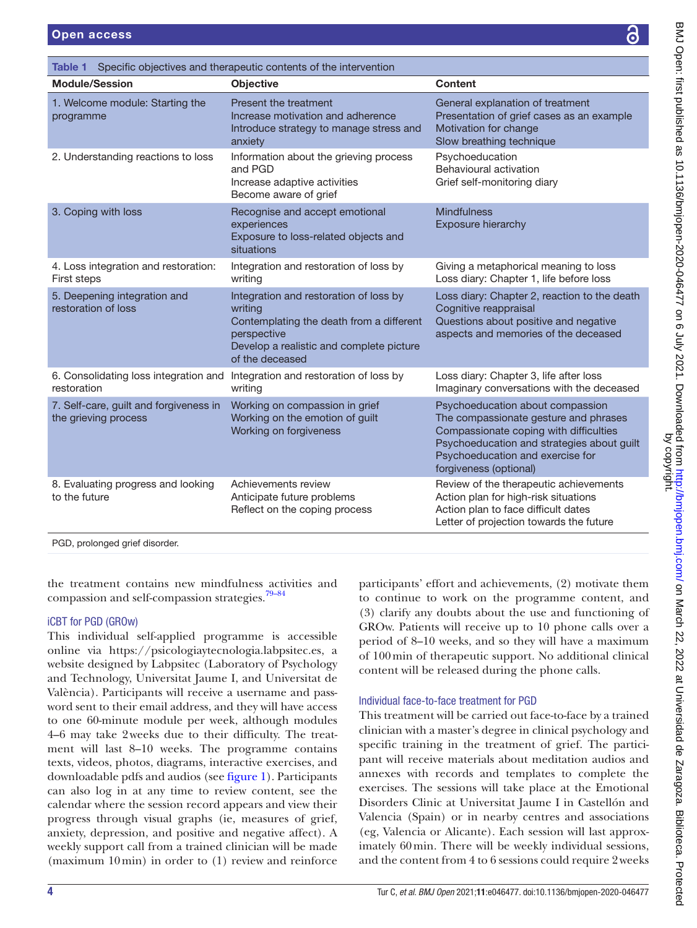<span id="page-3-0"></span>

| <b>Open access</b>                                   |                                                                                                                                                                             | ධි                                                                                                                                                     |
|------------------------------------------------------|-----------------------------------------------------------------------------------------------------------------------------------------------------------------------------|--------------------------------------------------------------------------------------------------------------------------------------------------------|
| Table 1                                              | Specific objectives and therapeutic contents of the intervention                                                                                                            |                                                                                                                                                        |
| <b>Module/Session</b>                                | <b>Objective</b>                                                                                                                                                            | Content                                                                                                                                                |
| 1. Welcome module: Starting the<br>programme         | Present the treatment<br>Increase motivation and adherence<br>Introduce strategy to manage stress and<br>anxiety                                                            | General explanation of treatment<br>Presentation of grief cases as an example<br>Motivation for change<br>Slow breathing technique                     |
| 2. Understanding reactions to loss                   | Information about the grieving process<br>and PGD<br>Increase adaptive activities<br>Become aware of grief                                                                  | Psychoeducation<br>Behavioural activation<br>Grief self-monitoring diary                                                                               |
| 3. Coping with loss                                  | Recognise and accept emotional<br>experiences<br>Exposure to loss-related objects and<br>situations                                                                         | <b>Mindfulness</b><br>Exposure hierarchy                                                                                                               |
| 4. Loss integration and restoration:<br>First steps  | Integration and restoration of loss by<br>writing                                                                                                                           | Giving a metaphorical meaning to loss<br>Loss diary: Chapter 1, life before loss                                                                       |
| 5. Deepening integration and<br>restoration of loss  | Integration and restoration of loss by<br>writing<br>Contemplating the death from a different<br>perspective<br>Develop a realistic and complete picture<br>of the deceased | Loss diary: Chapter 2, reaction to the death<br>Cognitive reappraisal<br>Questions about positive and negative<br>aspects and memories of the deceased |
| 6. Consolidating loss integration and<br>restoration | Integration and restoration of loss by<br>writing                                                                                                                           | Loss diary: Chapter 3, life after loss<br>Imaginary conversations with the deceased                                                                    |

Working on compassion in grief Working on the emotion of guilt Working on forgiveness

Achievements review Anticipate future problems Reflect on the coping process

PGD, prolonged grief disorder.

7. Self-care, guilt and forgiveness in

8. Evaluating progress and looking

the grieving process

to the future

the treatment contains new mindfulness activities and compassion and self-compassion strategies. $79-84$ 

# iCBT for PGD (GROw)

This individual self-applied programme is accessible online via [https://psicologiaytecnologia.labpsitec.es,](https://psicologiaytecnologia.labpsitec.es) a website designed by Labpsitec (Laboratory of Psychology and Technology, Universitat Jaume I, and Universitat de València). Participants will receive a username and password sent to their email address, and they will have access to one 60-minute module per week, although modules 4–6 may take 2weeks due to their difficulty. The treatment will last 8–10 weeks. The programme contains texts, videos, photos, diagrams, interactive exercises, and downloadable pdfs and audios (see [figure](#page-4-0) 1). Participants can also log in at any time to review content, see the calendar where the session record appears and view their progress through visual graphs (ie, measures of grief, anxiety, depression, and positive and negative affect). A weekly support call from a trained clinician will be made (maximum 10min) in order to (1) review and reinforce

participants' effort and achievements, (2) motivate them to continue to work on the programme content, and (3) clarify any doubts about the use and functioning of GROw. Patients will receive up to 10 phone calls over a period of 8–10 weeks, and so they will have a maximum of 100min of therapeutic support. No additional clinical content will be released during the phone calls.

Psychoeducation about compassion The compassionate gesture and phrases Compassionate coping with difficulties Psychoeducation and strategies about guilt

Psychoeducation and exercise for

Review of the therapeutic achievements Action plan for high-risk situations Action plan to face difficult dates Letter of projection towards the future

forgiveness (optional)

#### Individual face-to-face treatment for PGD

This treatment will be carried out face-to-face by a trained clinician with a master's degree in clinical psychology and specific training in the treatment of grief. The participant will receive materials about meditation audios and annexes with records and templates to complete the exercises. The sessions will take place at the Emotional Disorders Clinic at Universitat Jaume I in Castellón and Valencia (Spain) or in nearby centres and associations (eg, Valencia or Alicante). Each session will last approximately 60min. There will be weekly individual sessions, and the content from 4 to 6 sessions could require 2weeks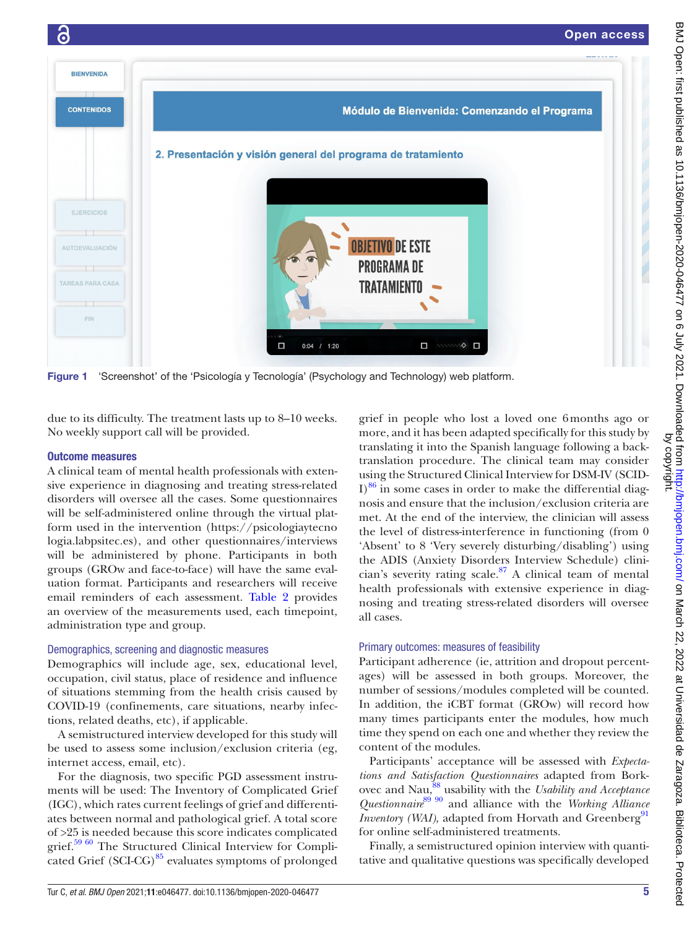

Figure 1 'Screenshot' of the 'Psicología y Tecnología' (Psychology and Technology) web platform.

<span id="page-4-0"></span>due to its difficulty. The treatment lasts up to 8–10 weeks. No weekly support call will be provided.

#### Outcome measures

A clinical team of mental health professionals with extensive experience in diagnosing and treating stress-related disorders will oversee all the cases. Some questionnaires will be self-administered online through the virtual platform used in the intervention [\(https://psicologiaytecno](https://psicologiaytecnologia.labpsitec.es) [logia.labpsitec.es\)](https://psicologiaytecnologia.labpsitec.es), and other questionnaires/interviews will be administered by phone. Participants in both groups (GROw and face-to-face) will have the same evaluation format. Participants and researchers will receive email reminders of each assessment. [Table](#page-5-0) 2 provides an overview of the measurements used, each timepoint, administration type and group.

#### Demographics, screening and diagnostic measures

Demographics will include age, sex, educational level, occupation, civil status, place of residence and influence of situations stemming from the health crisis caused by COVID-19 (confinements, care situations, nearby infections, related deaths, etc), if applicable.

A semistructured interview developed for this study will be used to assess some inclusion/exclusion criteria (eg, internet access, email, etc).

For the diagnosis, two specific PGD assessment instruments will be used: The Inventory of Complicated Grief (IGC), which rates current feelings of grief and differentiates between normal and pathological grief. A total score of >25 is needed because this score indicates complicated grief.<sup>59 60</sup> The Structured Clinical Interview for Complicated Grief  $(SCI-CG)^{85}$  evaluates symptoms of prolonged

grief in people who lost a loved one 6months ago or more, and it has been adapted specifically for this study by translating it into the Spanish language following a backtranslation procedure. The clinical team may consider using the Structured Clinical Interview for DSM-IV (SCID- $I$ <sup>86</sup> in some cases in order to make the differential diagnosis and ensure that the inclusion/exclusion criteria are met. At the end of the interview, the clinician will assess the level of distress-interference in functioning (from 0 'Absent' to 8 'Very severely disturbing/disabling') using the ADIS (Anxiety Disorders Interview Schedule) clinician's severity rating scale. $87$  A clinical team of mental health professionals with extensive experience in diagnosing and treating stress-related disorders will oversee all cases.

# Primary outcomes: measures of feasibility

Participant adherence (ie, attrition and dropout percentages) will be assessed in both groups. Moreover, the number of sessions/modules completed will be counted. In addition, the iCBT format (GROw) will record how many times participants enter the modules, how much time they spend on each one and whether they review the content of the modules.

Participants' acceptance will be assessed with *Expectations and Satisfaction Questionnaires* adapted from Borkovec and Nau,<sup>88</sup> usability with the *Usability and Acceptance Questionnaire*[89 90](#page-9-21) and alliance with the *Working Alliance Inventory (WAI),* adapted from Horvath and Greenberg<sup>[91](#page-9-22)</sup> for online self-administered treatments.

Finally, a semistructured opinion interview with quantitative and qualitative questions was specifically developed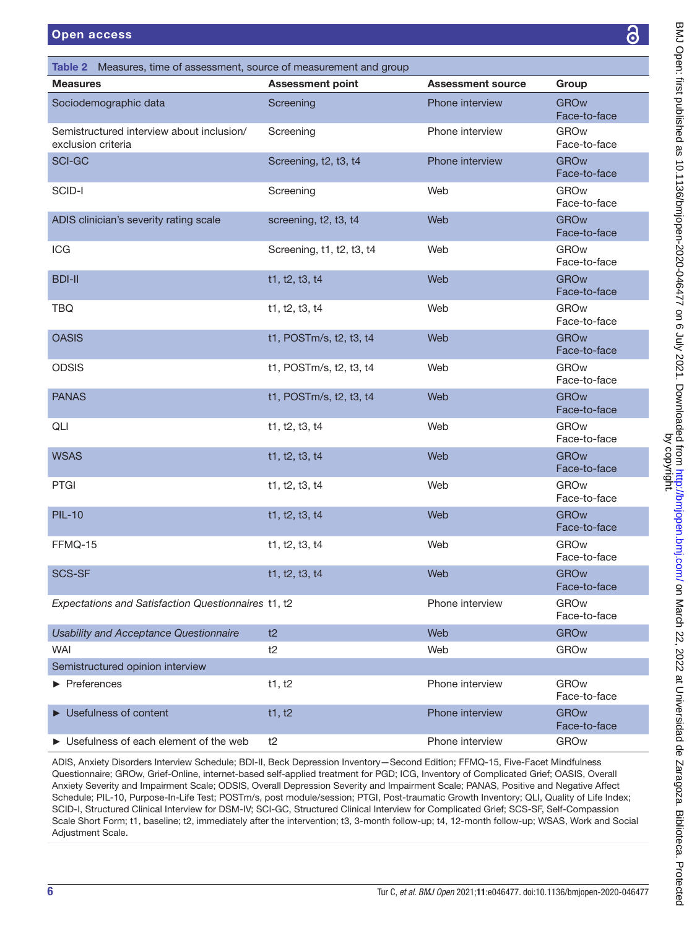<span id="page-5-0"></span>

| ෬<br><b>Open access</b>                                               |                           |                          |                             |
|-----------------------------------------------------------------------|---------------------------|--------------------------|-----------------------------|
| Table 2 Measures, time of assessment, source of measurement and group |                           |                          |                             |
| <b>Measures</b>                                                       | <b>Assessment point</b>   | <b>Assessment source</b> | Group                       |
| Sociodemographic data                                                 | Screening                 | Phone interview          | <b>GROw</b><br>Face-to-face |
| Semistructured interview about inclusion/<br>exclusion criteria       | Screening                 | Phone interview          | <b>GROw</b><br>Face-to-face |
| <b>SCI-GC</b>                                                         | Screening, t2, t3, t4     | Phone interview          | <b>GROw</b><br>Face-to-face |
| SCID-I                                                                | Screening                 | Web                      | GROw<br>Face-to-face        |
| ADIS clinician's severity rating scale                                | screening, t2, t3, t4     | Web                      | <b>GROw</b><br>Face-to-face |
| ICG                                                                   | Screening, t1, t2, t3, t4 | Web                      | <b>GROw</b><br>Face-to-face |
| <b>BDI-II</b>                                                         | t1, t2, t3, t4            | Web                      | <b>GROw</b><br>Face-to-face |
| <b>TBQ</b>                                                            | t1, t2, t3, t4            | Web                      | <b>GROw</b><br>Face-to-face |
| <b>OASIS</b>                                                          | t1, POSTm/s, t2, t3, t4   | Web                      | <b>GROw</b><br>Face-to-face |
| <b>ODSIS</b>                                                          | t1, POSTm/s, t2, t3, t4   | Web                      | <b>GROw</b><br>Face-to-face |
| <b>PANAS</b>                                                          | t1, POSTm/s, t2, t3, t4   | Web                      | <b>GROw</b><br>Face-to-face |
| QLI                                                                   | t1, t2, t3, t4            | Web                      | <b>GROw</b><br>Face-to-face |
| <b>WSAS</b>                                                           | t1, t2, t3, t4            | Web                      | <b>GROw</b><br>Face-to-face |
| <b>PTGI</b>                                                           | t1, t2, t3, t4            | Web                      | <b>GROw</b><br>Face-to-face |
| <b>PIL-10</b>                                                         | t1, t2, t3, t4            | Web                      | <b>GROw</b><br>Face-to-face |
| FFMQ-15                                                               | t1, t2, t3, t4            | Web                      | <b>GROw</b><br>Face-to-face |
| <b>SCS-SF</b>                                                         | t1, t2, t3, t4            | Web                      | <b>GROw</b><br>Face-to-face |
| Expectations and Satisfaction Questionnaires t1, t2                   |                           | Phone interview          | <b>GROw</b><br>Face-to-face |
| <b>Usability and Acceptance Questionnaire</b>                         | t2                        | Web                      | <b>GROw</b>                 |
| WAI                                                                   | t2                        | Web                      | <b>GROw</b>                 |
| Semistructured opinion interview                                      |                           |                          |                             |
| $\blacktriangleright$ Preferences                                     | t1, t2                    | Phone interview          | <b>GROw</b><br>Face-to-face |
| Usefulness of content                                                 | t1, t2                    | Phone interview          | <b>GROw</b><br>Face-to-face |
| ▶ Usefulness of each element of the web                               | t2                        | Phone interview          | GROw                        |

ADIS, Anxiety Disorders Interview Schedule; BDI-II, Beck Depression Inventory—Second Edition; FFMQ-15, Five-Facet Mindfulness Questionnaire; GROw, Grief-Online, internet-based self-applied treatment for PGD; ICG, Inventory of Complicated Grief; OASIS, Overall Anxiety Severity and Impairment Scale; ODSIS, Overall Depression Severity and Impairment Scale; PANAS, Positive and Negative Affect Schedule; PIL-10, Purpose-In-Life Test; POSTm/s, post module/session; PTGI, Post-traumatic Growth Inventory; QLI, Quality of Life Index; SCID-I, Structured Clinical Interview for DSM-IV; SCI-GC, Structured Clinical Interview for Complicated Grief; SCS-SF, Self-Compassion Scale Short Form; t1, baseline; t2, immediately after the intervention; t3, 3-month follow-up; t4, 12-month follow-up; WSAS, Work and Social Adjustment Scale.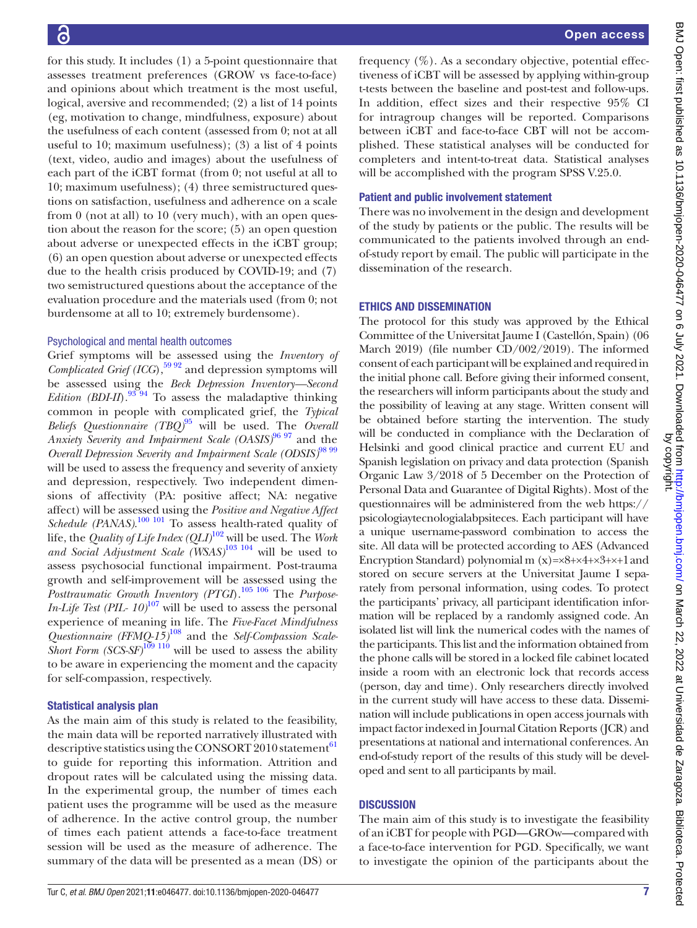for this study. It includes (1) a 5-point questionnaire that assesses treatment preferences (GROW vs face-to-face) and opinions about which treatment is the most useful, logical, aversive and recommended; (2) a list of 14 points (eg, motivation to change, mindfulness, exposure) about the usefulness of each content (assessed from 0; not at all useful to 10; maximum usefulness); (3) a list of 4 points (text, video, audio and images) about the usefulness of each part of the iCBT format (from 0; not useful at all to 10; maximum usefulness); (4) three semistructured questions on satisfaction, usefulness and adherence on a scale from 0 (not at all) to 10 (very much), with an open question about the reason for the score; (5) an open question about adverse or unexpected effects in the iCBT group; (6) an open question about adverse or unexpected effects due to the health crisis produced by COVID-19; and (7) two semistructured questions about the acceptance of the evaluation procedure and the materials used (from 0; not burdensome at all to 10; extremely burdensome).

# Psychological and mental health outcomes

Grief symptoms will be assessed using the *Inventory of Complicated Grief (ICG)*,  $\frac{5992}{2}$  and depression symptoms will be assessed using the *Beck Depression Inventory—Second Edition (BDI-II)*.<sup>93 94</sup> To assess the maladaptive thinking common in people with complicated grief, the *Typical Beliefs Questionnaire (TBQ)* [95](#page-9-24) will be used. The *Overall Anxiety Severity and Impairment Scale (OASIS)* [96 97](#page-9-25) and the *Overall Depression Severity and Impairment Scale (ODSIS)* [98 99](#page-9-26) will be used to assess the frequency and severity of anxiety and depression, respectively. Two independent dimensions of affectivity (PA: positive affect; NA: negative affect) will be assessed using the *Positive and Negative Affect*  Schedule (PANAS).<sup>100 101</sup> To assess health-rated quality of life, the *Quality of Life Index (QLI)* [102](#page-9-28) will be used. The *Work and Social Adjustment Scale (WSAS)* [103 104](#page-9-29) will be used to assess psychosocial functional impairment. Post-trauma growth and self-improvement will be assessed using the *Posttraumatic Growth Inventory (PTGI*).[105 106](#page-9-30) The *Purpose-In-Life Test (PIL-*  $10^{107}$  $10^{107}$  $10^{107}$  *will be used to assess the personal* experience of meaning in life. The *Five-Facet Mindfulness Questionnaire (FFMQ-15)* [108](#page-10-1) and the *Self-Compassion Scale-Short Form (SCS-SF)*<sup>[109 110](#page-10-2)</sup> will be used to assess the ability to be aware in experiencing the moment and the capacity for self-compassion, respectively.

# Statistical analysis plan

As the main aim of this study is related to the feasibility, the main data will be reported narratively illustrated with descriptive statistics using the CONSORT 2010 statement<sup>61</sup> to guide for reporting this information. Attrition and dropout rates will be calculated using the missing data. In the experimental group, the number of times each patient uses the programme will be used as the measure of adherence. In the active control group, the number of times each patient attends a face-to-face treatment session will be used as the measure of adherence. The summary of the data will be presented as a mean (DS) or

frequency  $(\%)$ . As a secondary objective, potential effectiveness of iCBT will be assessed by applying within-group t-tests between the baseline and post-test and follow-ups. In addition, effect sizes and their respective 95% CI for intragroup changes will be reported. Comparisons between iCBT and face-to-face CBT will not be accomplished. These statistical analyses will be conducted for completers and intent-to-treat data. Statistical analyses will be accomplished with the program SPSS V.25.0.

# Patient and public involvement statement

There was no involvement in the design and development of the study by patients or the public. The results will be communicated to the patients involved through an endof-study report by email. The public will participate in the dissemination of the research.

# ETHICS AND DISSEMINATION

The protocol for this study was approved by the Ethical Committee of the Universitat Jaume I (Castellón, Spain) (06 March 2019) (file number CD/002/2019). The informed consent of each participant will be explained and required in the initial phone call. Before giving their informed consent, the researchers will inform participants about the study and the possibility of leaving at any stage. Written consent will be obtained before starting the intervention. The study will be conducted in compliance with the Declaration of Helsinki and good clinical practice and current EU and Spanish legislation on privacy and data protection (Spanish Organic Law 3/2018 of 5 December on the Protection of Personal Data and Guarantee of Digital Rights). Most of the questionnaires will be administered from the web [https://](https://psicologiaytecnologialabpsiteces) [psicologiaytecnologialabpsiteces.](https://psicologiaytecnologialabpsiteces) Each participant will have a unique username-password combination to access the site. All data will be protected according to AES (Advanced Encryption Standard) polynomial m  $(x)=x8+x4+x3+x1$  and stored on secure servers at the Universitat Jaume I separately from personal information, using codes. To protect the participants' privacy, all participant identification information will be replaced by a randomly assigned code. An isolated list will link the numerical codes with the names of the participants. This list and the information obtained from the phone calls will be stored in a locked file cabinet located inside a room with an electronic lock that records access (person, day and time). Only researchers directly involved in the current study will have access to these data. Dissemination will include publications in open access journals with impact factor indexed in Journal Citation Reports (JCR) and presentations at national and international conferences. An end-of-study report of the results of this study will be developed and sent to all participants by mail.

# **DISCUSSION**

The main aim of this study is to investigate the feasibility of an iCBT for people with PGD—GROw—compared with a face-to-face intervention for PGD. Specifically, we want to investigate the opinion of the participants about the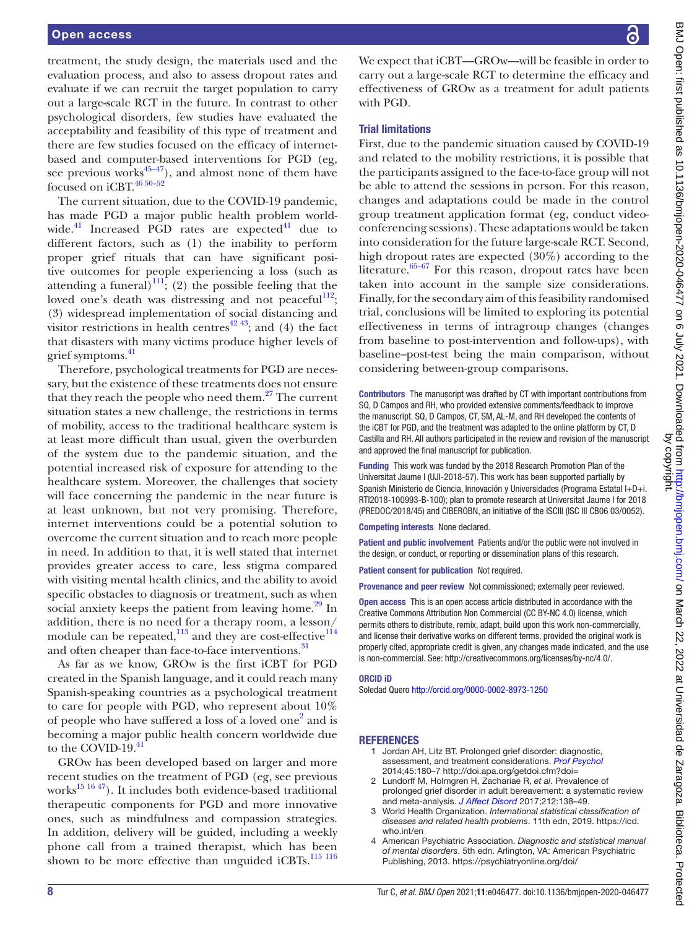treatment, the study design, the materials used and the evaluation process, and also to assess dropout rates and evaluate if we can recruit the target population to carry out a large-scale RCT in the future. In contrast to other psychological disorders, few studies have evaluated the acceptability and feasibility of this type of treatment and there are few studies focused on the efficacy of internetbased and computer-based interventions for PGD (eg, see previous works $45-47$ ), and almost none of them have focused on iCBT.<sup>46 50-52</sup>

The current situation, due to the COVID-19 pandemic, has made PGD a major public health problem worldwide. $^{41}$  Increased PGD rates are expected $^{41}$  due to different factors, such as (1) the inability to perform proper grief rituals that can have significant positive outcomes for people experiencing a loss (such as attending a funeral)<sup>111</sup>; (2) the possible feeling that the loved one's death was distressing and not peaceful<sup>112</sup>; (3) widespread implementation of social distancing and visitor restrictions in health centres<sup> $42\frac{43}{3}$ </sup>; and (4) the fact that disasters with many victims produce higher levels of grief symptoms.<sup>41</sup>

Therefore, psychological treatments for PGD are necessary, but the existence of these treatments does not ensure that they reach the people who need them. $27$  The current situation states a new challenge, the restrictions in terms of mobility, access to the traditional healthcare system is at least more difficult than usual, given the overburden of the system due to the pandemic situation, and the potential increased risk of exposure for attending to the healthcare system. Moreover, the challenges that society will face concerning the pandemic in the near future is at least unknown, but not very promising. Therefore, internet interventions could be a potential solution to overcome the current situation and to reach more people in need. In addition to that, it is well stated that internet provides greater access to care, less stigma compared with visiting mental health clinics, and the ability to avoid specific obstacles to diagnosis or treatment, such as when social anxiety keeps the patient from leaving home. $29 \text{ In}$  $29 \text{ In}$ addition, there is no need for a therapy room, a lesson/ module can be repeated, $^{113}$  $^{113}$  $^{113}$  and they are cost-effective $^{114}$ and often cheaper than face-to-face interventions.<sup>[31](#page-8-10)</sup>

As far as we know, GROw is the first iCBT for PGD created in the Spanish language, and it could reach many Spanish-speaking countries as a psychological treatment to care for people with PGD, who represent about 10% of people who have suffered a loss of a loved one<sup>[2](#page-7-1)</sup> and is becoming a major public health concern worldwide due to the COVID-19.<sup>[41](#page-8-17)</sup>

GROw has been developed based on larger and more recent studies on the treatment of PGD (eg, see previous works $^{15}$ <sup>1647</sup>). It includes both evidence-based traditional therapeutic components for PGD and more innovative ones, such as mindfulness and compassion strategies. In addition, delivery will be guided, including a weekly phone call from a trained therapist, which has been shown to be more effective than unguided iCBTs. $^{115}$   $^{116}$ 

We expect that iCBT—GROw—will be feasible in order to carry out a large-scale RCT to determine the efficacy and effectiveness of GROw as a treatment for adult patients with PGD.

#### Trial limitations

First, due to the pandemic situation caused by COVID-19 and related to the mobility restrictions, it is possible that the participants assigned to the face-to-face group will not be able to attend the sessions in person. For this reason, changes and adaptations could be made in the control group treatment application format (eg, conduct videoconferencing sessions). These adaptations would be taken into consideration for the future large-scale RCT. Second, high dropout rates are expected (30%) according to the literature.<sup>65–67</sup> For this reason, dropout rates have been taken into account in the sample size considerations. Finally, for the secondary aim of this feasibility randomised trial, conclusions will be limited to exploring its potential effectiveness in terms of intragroup changes (changes from baseline to post-intervention and follow-ups), with baseline–post-test being the main comparison, without considering between-group comparisons.

Contributors The manuscript was drafted by CT with important contributions from SQ, D Campos and RH, who provided extensive comments/feedback to improve the manuscript. SQ, D Campos, CT, SM, AL-M, and RH developed the contents of the iCBT for PGD, and the treatment was adapted to the online platform by CT, D Castilla and RH. All authors participated in the review and revision of the manuscript and approved the final manuscript for publication.

Funding This work was funded by the 2018 Research Promotion Plan of the Universitat Jaume I (UJI-2018-57). This work has been supported partially by Spanish Ministerio de Ciencia, Innovación y Universidades (Programa Estatal I+D+i. RTI2018-100993-B-100); plan to promote research at Universitat Jaume I for 2018 (PREDOC/2018/45) and CIBEROBN, an initiative of the ISCIII (ISC III CB06 03/0052).

Competing interests None declared.

Patient and public involvement Patients and/or the public were not involved in the design, or conduct, or reporting or dissemination plans of this research.

Patient consent for publication Not required.

Provenance and peer review Not commissioned; externally peer reviewed.

Open access This is an open access article distributed in accordance with the Creative Commons Attribution Non Commercial (CC BY-NC 4.0) license, which permits others to distribute, remix, adapt, build upon this work non-commercially, and license their derivative works on different terms, provided the original work is properly cited, appropriate credit is given, any changes made indicated, and the use is non-commercial. See: [http://creativecommons.org/licenses/by-nc/4.0/.](http://creativecommons.org/licenses/by-nc/4.0/)

#### ORCID iD

Soledad Quero<http://orcid.org/0000-0002-8973-1250>

#### <span id="page-7-0"></span>REFERENCES

- 1 Jordan AH, Litz BT. Prolonged grief disorder: diagnostic, assessment, and treatment considerations. *[Prof Psychol](http://dx.doi.org/10.1037/a0036836)* 2014;45:180–7 <http://doi.apa.org/getdoi.cfm?doi=>
- <span id="page-7-1"></span>2 Lundorff M, Holmgren H, Zachariae R, *et al*. Prevalence of prolonged grief disorder in adult bereavement: a systematic review and meta-analysis. *[J Affect Disord](http://dx.doi.org/10.1016/j.jad.2017.01.030)* 2017;212:138–49.
- <span id="page-7-2"></span>3 World Health Organization. *International statistical classification of diseases and related health problems*. 11th edn, 2019. [https://icd.](https://icd.who.int/en) [who.int/en](https://icd.who.int/en)
- <span id="page-7-3"></span>4 American Psychiatric Association. *Diagnostic and statistical manual of mental disorders*. 5th edn. Arlington, VA: American Psychiatric Publishing, 2013. <https://psychiatryonline.org/doi/>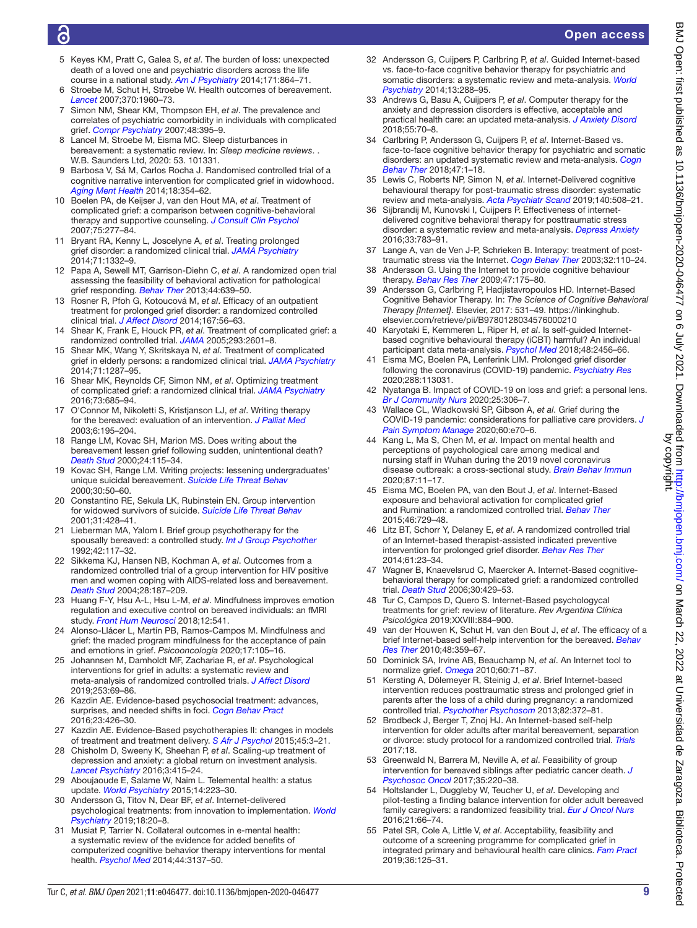# ൳

# Open access

- <span id="page-8-0"></span>5 Keyes KM, Pratt C, Galea S, *et al*. The burden of loss: unexpected death of a loved one and psychiatric disorders across the life course in a national study. *[Am J Psychiatry](http://dx.doi.org/10.1176/appi.ajp.2014.13081132)* 2014;171:864–71.
- Stroebe M, Schut H, Stroebe W, Health outcomes of bereavement. *[Lancet](http://dx.doi.org/10.1016/S0140-6736(07)61816-9)* 2007;370:1960–73.
- 7 Simon NM, Shear KM, Thompson EH, *et al*. The prevalence and correlates of psychiatric comorbidity in individuals with complicated grief. *[Compr Psychiatry](http://dx.doi.org/10.1016/j.comppsych.2007.05.002)* 2007;48:395–9.
- Lancel M, Stroebe M, Eisma MC. Sleep disturbances in bereavement: a systematic review. In: *Sleep medicine reviews*. . W.B. Saunders Ltd, 2020: 53. 101331.
- <span id="page-8-1"></span>9 Barbosa V, Sá M, Carlos Rocha J. Randomised controlled trial of a cognitive narrative intervention for complicated grief in widowhood. *[Aging Ment Health](http://dx.doi.org/10.1080/13607863.2013.833164)* 2014;18:354–62.
- 10 Boelen PA, de Keijser J, van den Hout MA, *et al*. Treatment of complicated grief: a comparison between cognitive-behavioral therapy and supportive counseling. *[J Consult Clin Psychol](http://dx.doi.org/10.1037/0022-006X.75.2.277)* 2007;75:277–84.
- 11 Bryant RA, Kenny L, Joscelyne A, *et al*. Treating prolonged grief disorder: a randomized clinical trial. *[JAMA Psychiatry](http://dx.doi.org/10.1001/jamapsychiatry.2014.1600)* 2014;71:1332–9.
- 12 Papa A, Sewell MT, Garrison-Diehn C, *et al*. A randomized open trial assessing the feasibility of behavioral activation for pathological grief responding. *[Behav Ther](http://dx.doi.org/10.1016/j.beth.2013.04.009)* 2013;44:639–50.
- 13 Rosner R, Pfoh G, Kotoucová M, *et al*. Efficacy of an outpatient treatment for prolonged grief disorder: a randomized controlled clinical trial. *[J Affect Disord](http://dx.doi.org/10.1016/j.jad.2014.05.035)* 2014;167:56–63.
- <span id="page-8-25"></span>Shear K, Frank E, Houck PR, et al. Treatment of complicated grief: a randomized controlled trial. *[JAMA](http://dx.doi.org/10.1001/jama.293.21.2601)* 2005;293:2601–8.
- <span id="page-8-27"></span>15 Shear MK, Wang Y, Skritskaya N, *et al*. Treatment of complicated grief in elderly persons: a randomized clinical trial. *[JAMA Psychiatry](http://dx.doi.org/10.1001/jamapsychiatry.2014.1242)* 2014;71:1287–95.
- 16 Shear MK, Reynolds CF, Simon NM, *et al*. Optimizing treatment of complicated grief: a randomized clinical trial. *[JAMA Psychiatry](http://dx.doi.org/10.1001/jamapsychiatry.2016.0892)* 2016;73:685–94.
- <span id="page-8-2"></span>17 O'Connor M, Nikoletti S, Kristjanson LJ, *et al*. Writing therapy for the bereaved: evaluation of an intervention. *[J Palliat Med](http://dx.doi.org/10.1089/109662103764978443)* 2003;6:195–204.
- 18 Range LM, Kovac SH, Marion MS. Does writing about the bereavement lessen grief following sudden, unintentional death? *[Death Stud](http://dx.doi.org/10.1080/074811800200603)* 2000;24:115–34.
- 19 Kovac SH, Range LM. Writing projects: lessening undergraduates' unique suicidal bereavement. *[Suicide Life Threat Behav](http://www.ncbi.nlm.nih.gov/pubmed/10782718)* 2000;30:50–60.
- <span id="page-8-3"></span>Constantino RE, Sekula LK, Rubinstein EN. Group intervention for widowed survivors of suicide. *[Suicide Life Threat Behav](http://dx.doi.org/10.1521/suli.31.4.428.22044)* 2001;31:428–41.
- 21 Lieberman MA, Yalom I. Brief group psychotherapy for the spousally bereaved: a controlled study. *[Int J Group Psychother](http://dx.doi.org/10.1080/00207284.1992.11732583)* 1992;42:117–32.
- 22 Sikkema KJ, Hansen NB, Kochman A, *et al*. Outcomes from a randomized controlled trial of a group intervention for HIV positive men and women coping with AIDS-related loss and bereavement. *[Death Stud](http://dx.doi.org/10.1080/07481180490276544)* 2004;28:187–209.
- <span id="page-8-4"></span>23 Huang F-Y, Hsu A-L, Hsu L-M, *et al*. Mindfulness improves emotion regulation and executive control on bereaved individuals: an fMRI study. *[Front Hum Neurosci](http://dx.doi.org/10.3389/fnhum.2018.00541)* 2018;12:541.
- 24 Alonso-Llácer L, Martín PB, Ramos-Campos M. Mindfulness and grief: the maded program mindfulness for the acceptance of pain and emotions in grief. *Psicooncologia* 2020;17:105–16.
- <span id="page-8-5"></span>25 Johannsen M, Damholdt MF, Zachariae R, *et al*. Psychological interventions for grief in adults: a systematic review and meta-analysis of randomized controlled trials. *[J Affect Disord](http://dx.doi.org/10.1016/j.jad.2019.04.065)* 2019;253:69–86.
- <span id="page-8-6"></span>26 Kazdin AE. Evidence-based psychosocial treatment: advances, surprises, and needed shifts in foci. *[Cogn Behav Pract](http://dx.doi.org/10.1016/j.cbpra.2015.11.003)* 2016;23:426–30.
- <span id="page-8-7"></span>27 Kazdin AE. Evidence-Based psychotherapies II: changes in models of treatment and treatment delivery. *[S Afr J Psychol](http://dx.doi.org/10.1177/0081246314538733)* 2015;45:3–21.
- <span id="page-8-8"></span>28 Chisholm D, Sweeny K, Sheehan P, *et al*. Scaling-up treatment of depression and anxiety: a global return on investment analysis. *[Lancet Psychiatry](http://dx.doi.org/10.1016/S2215-0366(16)30024-4)* 2016;3:415–24.
- <span id="page-8-9"></span>29 Aboujaoude E, Salame W, Naim L. Telemental health: a status update. *[World Psychiatry](http://dx.doi.org/10.1002/wps.20218)* 2015;14:223–30.
- <span id="page-8-11"></span>30 Andersson G, Titov N, Dear BF, *et al*. Internet‐delivered psychological treatments: from innovation to implementation. *[World](http://dx.doi.org/10.1002/wps.20610)  [Psychiatry](http://dx.doi.org/10.1002/wps.20610)* 2019;18:20–8.
- <span id="page-8-10"></span>31 Musiat P, Tarrier N. Collateral outcomes in e-mental health: a systematic review of the evidence for added benefits of computerized cognitive behavior therapy interventions for mental health. *[Psychol Med](http://dx.doi.org/10.1017/S0033291714000245)* 2014;44:3137–50.
- 32 Andersson G, Cuijpers P, Carlbring P, *et al*. Guided Internet-based vs. face-to-face cognitive behavior therapy for psychiatric and somatic disorders: a systematic review and meta-analysis. *[World](http://dx.doi.org/10.1002/wps.20151)  [Psychiatry](http://dx.doi.org/10.1002/wps.20151)* 2014;13:288–95.
- 33 Andrews G, Basu A, Cuijpers P, *et al*. Computer therapy for the anxiety and depression disorders is effective, acceptable and practical health care: an updated meta-analysis. *[J Anxiety Disord](http://dx.doi.org/10.1016/j.janxdis.2018.01.001)* 2018;55:70–8.
- <span id="page-8-14"></span>34 Carlbring P, Andersson G, Cuijpers P, *et al*. Internet-Based vs. face-to-face cognitive behavior therapy for psychiatric and somatic disorders: an updated systematic review and meta-analysis. *[Cogn](http://dx.doi.org/10.1080/16506073.2017.1401115)  [Behav Ther](http://dx.doi.org/10.1080/16506073.2017.1401115)* 2018;47:1–18.
- 35 Lewis C, Roberts NP, Simon N, *et al*. Internet-Delivered cognitive behavioural therapy for post-traumatic stress disorder: systematic review and meta-analysis. *[Acta Psychiatr Scand](http://dx.doi.org/10.1111/acps.13079)* 2019;140:508–21.
- 36 Sijbrandij M, Kunovski I, Cuijpers P. Effectiveness of internetdelivered cognitive behavioral therapy for posttraumatic stress disorder: a systematic review and meta-analysis. *[Depress Anxiety](http://dx.doi.org/10.1002/da.22533)* 2016;33:783–91.
- <span id="page-8-12"></span>37 Lange A, van de Ven J-P, Schrieken B. Interapy: treatment of posttraumatic stress via the Internet. *[Cogn Behav Ther](http://dx.doi.org/10.1080/16506070302317)* 2003;32:110–24.
- <span id="page-8-13"></span>38 Andersson G. Using the Internet to provide cognitive behaviour therapy. *[Behav Res Ther](http://dx.doi.org/10.1016/j.brat.2009.01.010)* 2009;47:175–80.
- <span id="page-8-15"></span>39 Andersson G, Carlbring P, Hadjistavropoulos HD. Internet-Based Cognitive Behavior Therapy. In: *The Science of Cognitive Behavioral Therapy [Internet]*. Elsevier, 2017: 531–49. [https://linkinghub.](https://linkinghub.elsevier.com/retrieve/pii/B9780128034576000210) [elsevier.com/retrieve/pii/B9780128034576000210](https://linkinghub.elsevier.com/retrieve/pii/B9780128034576000210)
- <span id="page-8-16"></span>40 Karyotaki E, Kemmeren L, Riper H, *et al*. Is self-guided Internetbased cognitive behavioural therapy (iCBT) harmful? An individual participant data meta-analysis. *[Psychol Med](http://dx.doi.org/10.1017/S0033291718000648)* 2018;48:2456–66.
- <span id="page-8-17"></span>41 Eisma MC, Boelen PA, Lenferink LIM. Prolonged grief disorder following the coronavirus (COVID-19) pandemic. *[Psychiatry Res](http://dx.doi.org/10.1016/j.psychres.2020.113031)* 2020;288:113031.
- <span id="page-8-18"></span>42 Nyatanga B. Impact of COVID-19 on loss and grief: a personal lens. *[Br J Community Nurs](http://dx.doi.org/10.12968/bjcn.2020.25.6.306)* 2020;25:306–7.
- <span id="page-8-20"></span>43 Wallace CL, Wladkowski SP, Gibson A, *et al*. Grief during the COVID-19 pandemic: considerations for palliative care providers. *[J](http://dx.doi.org/10.1016/j.jpainsymman.2020.04.012)  [Pain Symptom Manage](http://dx.doi.org/10.1016/j.jpainsymman.2020.04.012)* 2020;60:e70–6.
- <span id="page-8-19"></span>44 Kang L, Ma S, Chen M, *et al*. Impact on mental health and perceptions of psychological care among medical and nursing staff in Wuhan during the 2019 novel coronavirus disease outbreak: a cross-sectional study. *[Brain Behav Immun](http://dx.doi.org/10.1016/j.bbi.2020.03.028)* 2020;87:11–17.
- <span id="page-8-21"></span>45 Eisma MC, Boelen PA, van den Bout J, *et al*. Internet-Based exposure and behavioral activation for complicated grief and Rumination: a randomized controlled trial. *[Behav Ther](http://dx.doi.org/10.1016/j.beth.2015.05.007)* 2015;46:729–48.
- <span id="page-8-23"></span>46 Litz BT, Schorr Y, Delaney E, *et al*. A randomized controlled trial of an Internet-based therapist-assisted indicated preventive intervention for prolonged grief disorder. *[Behav Res Ther](http://dx.doi.org/10.1016/j.brat.2014.07.005)* 2014;61:23–34.
- <span id="page-8-26"></span>47 Wagner B, Knaevelsrud C, Maercker A. Internet-Based cognitivebehavioral therapy for complicated grief: a randomized controlled trial. *[Death Stud](http://dx.doi.org/10.1080/07481180600614385)* 2006;30:429–53.
- <span id="page-8-22"></span>Tur C, Campos D, Quero S. Internet-Based psychologycal treatments for grief: review of literature. *Rev Argentina Clínica Psicológica* 2019;XXVIII:884–900.
- van der Houwen K, Schut H, van den Bout J, et al. The efficacy of a brief Internet-based self-help intervention for the bereaved. *[Behav](http://dx.doi.org/10.1016/j.brat.2009.12.009)  [Res Ther](http://dx.doi.org/10.1016/j.brat.2009.12.009)* 2010;48:359–67.
- 50 Dominick SA, Irvine AB, Beauchamp N, *et al*. An Internet tool to normalize grief. *[Omega](http://dx.doi.org/10.2190/OM.60.1.d)* 2010;60:71–87.
- 51 Kersting A, Dölemeyer R, Steinig J, *et al*. Brief Internet-based intervention reduces posttraumatic stress and prolonged grief in parents after the loss of a child during pregnancy: a randomized controlled trial. *[Psychother Psychosom](http://dx.doi.org/10.1159/000348713)* 2013;82:372–81.
- 52 Brodbeck J, Berger T, Znoj HJ. An Internet-based self-help intervention for older adults after marital bereavement, separation or divorce: study protocol for a randomized controlled trial. *[Trials](http://dx.doi.org/10.1186/s13063-016-1759-5)* 2017;18.
- <span id="page-8-24"></span>53 Greenwald N, Barrera M, Neville A, *et al*. Feasibility of group intervention for bereaved siblings after pediatric cancer death. *[J](http://dx.doi.org/10.1080/07347332.2016.1252823)  [Psychosoc Oncol](http://dx.doi.org/10.1080/07347332.2016.1252823)* 2017;35:220–38.
- 54 Holtslander L, Duggleby W, Teucher U, *et al*. Developing and pilot-testing a finding balance intervention for older adult bereaved family caregivers: a randomized feasibility trial. *[Eur J Oncol Nurs](http://dx.doi.org/10.1016/j.ejon.2016.01.003)* 2016;21:66–74.
- 55 Patel SR, Cole A, Little V, *et al*. Acceptability, feasibility and outcome of a screening programme for complicated grief in integrated primary and behavioural health care clinics. *[Fam Pract](http://dx.doi.org/10.1093/fampra/cmy050)* 2019;36:125–31.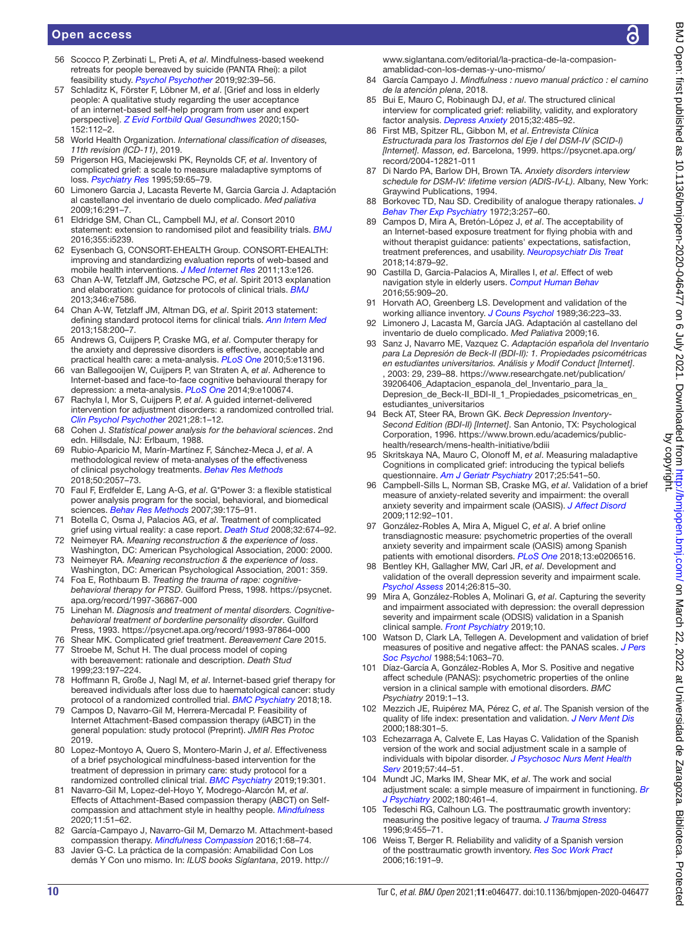- 56 Scocco P, Zerbinati L, Preti A, *et al*. Mindfulness-based weekend retreats for people bereaved by suicide (PANTA Rhei): a pilot feasibility study. *[Psychol Psychother](http://dx.doi.org/10.1111/papt.12175)* 2019;92:39–56.
- <span id="page-9-0"></span>57 Schladitz K, Förster F, Löbner M, *et al*. [Grief and loss in elderly people: A qualitative study regarding the user acceptance of an internet-based self-help program from user and expert perspective]. *[Z Evid Fortbild Qual Gesundhwes](http://dx.doi.org/10.1016/j.zefq.2020.01.007)* 2020;150- 152:112–2.
- <span id="page-9-1"></span>58 World Health Organization. *International classification of diseases, 11th revision (ICD-11)*, 2019.
- <span id="page-9-2"></span>59 Prigerson HG, Maciejewski PK, Reynolds CF, *et al*. Inventory of complicated grief: a scale to measure maladaptive symptoms of loss. *[Psychiatry Res](http://dx.doi.org/10.1016/0165-1781(95)02757-2)* 1995;59:65–79.
- 60 Limonero Garcia J, Lacasta Reverte M, Garcia Garcia J. Adaptación al castellano del inventario de duelo complicado. *Med paliativa* 2009;16:291–7.
- <span id="page-9-3"></span>61 Eldridge SM, Chan CL, Campbell MJ, *et al*. Consort 2010 statement: extension to randomised pilot and feasibility trials. *[BMJ](http://dx.doi.org/10.1136/bmj.i5239)* 2016;355:i5239.
- <span id="page-9-4"></span>62 Eysenbach G, CONSORT-EHEALTH Group. CONSORT-EHEALTH: improving and standardizing evaluation reports of web-based and mobile health interventions. *[J Med Internet Res](http://dx.doi.org/10.2196/jmir.1923)* 2011;13:e126.
- <span id="page-9-5"></span>63 Chan A-W, Tetzlaff JM, Gøtzsche PC, *et al*. Spirit 2013 explanation and elaboration: guidance for protocols of clinical trials. *[BMJ](http://dx.doi.org/10.1136/bmj.e7586)* 2013;346:e7586.
- 64 Chan A-W, Tetzlaff JM, Altman DG, *et al*. Spirit 2013 statement: defining standard protocol items for clinical trials. *[Ann Intern Med](http://dx.doi.org/10.7326/0003-4819-158-3-201302050-00583)* 2013;158:200–7.
- <span id="page-9-6"></span>65 Andrews G, Cuijpers P, Craske MG, *et al*. Computer therapy for the anxiety and depressive disorders is effective, acceptable and practical health care: a meta-analysis. *[PLoS One](http://dx.doi.org/10.1371/journal.pone.0013196)* 2010;5:e13196.
- 66 van Ballegooijen W, Cuijpers P, van Straten A, *et al*. Adherence to Internet-based and face-to-face cognitive behavioural therapy for depression: a meta-analysis. *[PLoS One](http://dx.doi.org/10.1371/journal.pone.0100674)* 2014;9:e100674.
- 67 Rachyla I, Mor S, Cuijpers P, *et al*. A guided internet-delivered intervention for adjustment disorders: a randomized controlled trial. *[Clin Psychol Psychother](http://dx.doi.org/10.1002/cpp.2518)* 2021;28:1–12.
- <span id="page-9-7"></span>68 Cohen J. *Statistical power analysis for the behavioral sciences*. 2nd edn. Hillsdale, NJ: Erlbaum, 1988.
- <span id="page-9-8"></span>69 Rubio-Aparicio M, Marín-Martínez F, Sánchez-Meca J, *et al*. A methodological review of meta-analyses of the effectiveness of clinical psychology treatments. *[Behav Res Methods](http://dx.doi.org/10.3758/s13428-017-0973-8)* 2018;50:2057–73.
- <span id="page-9-9"></span>70 Faul F, Erdfelder E, Lang A-G, *et al*. G\*Power 3: a flexible statistical power analysis program for the social, behavioral, and biomedical sciences. *[Behav Res Methods](http://dx.doi.org/10.3758/BF03193146)* 2007;39:175–91.
- <span id="page-9-10"></span>71 Botella C, Osma J, Palacios AG, *et al*. Treatment of complicated grief using virtual reality: a case report. *[Death Stud](http://dx.doi.org/10.1080/07481180802231319)* 2008;32:674–92.
- <span id="page-9-11"></span>72 Neimeyer RA. *Meaning reconstruction & the experience of loss*. Washington, DC: American Psychological Association, 2000: 2000.
- 73 Neimeyer RA. *Meaning reconstruction & the experience of loss*. Washington, DC: American Psychological Association, 2001: 359.
- <span id="page-9-12"></span>74 Foa E, Rothbaum B. *Treating the trauma of rape: cognitivebehavioral therapy for PTSD*. Guilford Press, 1998. [https://psycnet.](https://psycnet.apa.org/record/1997-36867-000) [apa.org/record/1997-36867-000](https://psycnet.apa.org/record/1997-36867-000)
- <span id="page-9-13"></span>75 Linehan M. *Diagnosis and treatment of mental disorders. Cognitivebehavioral treatment of borderline personality disorder*. Guilford Press, 1993.<https://psycnet.apa.org/record/1993-97864-000>
- <span id="page-9-14"></span>76 Shear MK. Complicated grief treatment. *Bereavement Care* 2015.
- <span id="page-9-15"></span>77 Stroebe M, Schut H. The dual process model of coping with bereavement: rationale and description. *Death Stud* 1999;23:197–224.
- 78 Hoffmann R, Große J, Nagl M, *et al*. Internet-based grief therapy for bereaved individuals after loss due to haematological cancer: study protocol of a randomized controlled trial. *[BMC Psychiatry](http://dx.doi.org/10.1186/s12888-018-1633-y)* 2018;18.
- <span id="page-9-16"></span>79 Campos D, Navarro-Gil M, Herrera-Mercadal P. Feasibility of Internet Attachment-Based compassion therapy (iABCT) in the general population: study protocol (Preprint). *JMIR Res Protoc* 2019.
- 80 Lopez-Montoyo A, Quero S, Montero-Marin J, *et al*. Effectiveness of a brief psychological mindfulness-based intervention for the treatment of depression in primary care: study protocol for a randomized controlled clinical trial. *[BMC Psychiatry](http://dx.doi.org/10.1186/s12888-019-2298-x)* 2019;19:301.
- 81 Navarro-Gil M, Lopez-del-Hoyo Y, Modrego-Alarcón M, *et al*. Effects of Attachment-Based compassion therapy (ABCT) on Selfcompassion and attachment style in healthy people. *[Mindfulness](http://dx.doi.org/10.1007/s12671-018-0896-1)* 2020;11:51–62.
- 82 García-Campayo J, Navarro-Gil M, Demarzo M. Attachment-based compassion therapy. *[Mindfulness Compassion](http://dx.doi.org/10.1016/j.mincom.2016.10.004)* 2016;1:68–74.
- Javier G-C. La práctica de la compasión: Amabilidad Con Los demás Y Con uno mismo. In: *ILUS books Siglantana*, 2019. [http://](http://www.siglantana.com/editorial/la-practica-de-la-compasion-amablidad-con-los-demas-y-uno-mismo/)

[www.siglantana.com/editorial/la-practica-de-la-compasion](http://www.siglantana.com/editorial/la-practica-de-la-compasion-amablidad-con-los-demas-y-uno-mismo/)[amablidad-con-los-demas-y-uno-mismo/](http://www.siglantana.com/editorial/la-practica-de-la-compasion-amablidad-con-los-demas-y-uno-mismo/)

- 84 García Campayo J. *Mindfulness : nuevo manual práctico : el camino de la atención plena*, 2018.
- <span id="page-9-17"></span>85 Bui E, Mauro C, Robinaugh DJ, *et al*. The structured clinical interview for complicated grief: reliability, validity, and exploratory factor analysis. *[Depress Anxiety](http://dx.doi.org/10.1002/da.22385)* 2015;32:485–92.
- <span id="page-9-18"></span>86 First MB, Spitzer RL, Gibbon M, *et al*. *Entrevista Clínica Estructurada para los Trastornos del Eje I del DSM-IV (SCID-I) [Internet]. Masson, ed*. Barcelona, 1999. [https://psycnet.apa.org/](https://psycnet.apa.org/record/2004-12821-011) [record/2004-12821-011](https://psycnet.apa.org/record/2004-12821-011)
- <span id="page-9-19"></span>87 Di Nardo PA, Barlow DH, Brown TA. *Anxiety disorders interview schedule for DSM-IV: lifetime version (ADIS-IV-L)*. Albany, New York: Graywind Publications, 1994.
- <span id="page-9-20"></span>88 Borkovec TD, Nau SD. Credibility of analogue therapy rationales. *[J](http://dx.doi.org/10.1016/0005-7916(72)90045-6)  [Behav Ther Exp Psychiatry](http://dx.doi.org/10.1016/0005-7916(72)90045-6)* 1972;3:257–60.
- <span id="page-9-21"></span>89 Campos D, Mira A, Bretón-López J, *et al*. The acceptability of an Internet-based exposure treatment for flying phobia with and without therapist guidance: patients' expectations, satisfaction, treatment preferences, and usability. *[Neuropsychiatr Dis Treat](http://dx.doi.org/10.2147/NDT.S153041)* 2018;14:879–92.
- 90 Castilla D, Garcia-Palacios A, Miralles I, *et al*. Effect of web navigation style in elderly users. *[Comput Human Behav](http://dx.doi.org/10.1016/j.chb.2015.10.034)* 2016;55:909–20.
- <span id="page-9-22"></span>91 Horvath AO, Greenberg LS. Development and validation of the working alliance inventory. *[J Couns Psychol](http://dx.doi.org/10.1037/0022-0167.36.2.223)* 1989;36:223–33.
- 92 Limonero J, Lacasta M, García JAG. Adaptación al castellano del inventario de duelo complicado. *Med Paliativa* 2009;16.
- <span id="page-9-23"></span>93 Sanz J, Navarro ME, Vazquez C. *Adaptación española del Inventario para La Depresión de Beck-II (BDI-II): 1. Propiedades psicométricas en estudiantes universitarios. Análisis y Modif Conduct [Internet]*. , 2003: 29, 239–88. [https://www.researchgate.net/publication/](https://www.researchgate.net/publication/39206406_Adaptacion_espanola_del_Inventario_para_la_Depresion_de_Beck-II_BDI-II_1_Propiedades_psicometricas_en_estudiantes_universitarios) [39206406\\_Adaptacion\\_espanola\\_del\\_Inventario\\_para\\_la\\_](https://www.researchgate.net/publication/39206406_Adaptacion_espanola_del_Inventario_para_la_Depresion_de_Beck-II_BDI-II_1_Propiedades_psicometricas_en_estudiantes_universitarios) [Depresion\\_de\\_Beck-II\\_BDI-II\\_1\\_Propiedades\\_psicometricas\\_en\\_](https://www.researchgate.net/publication/39206406_Adaptacion_espanola_del_Inventario_para_la_Depresion_de_Beck-II_BDI-II_1_Propiedades_psicometricas_en_estudiantes_universitarios) [estudiantes\\_universitarios](https://www.researchgate.net/publication/39206406_Adaptacion_espanola_del_Inventario_para_la_Depresion_de_Beck-II_BDI-II_1_Propiedades_psicometricas_en_estudiantes_universitarios)
- 94 Beck AT, Steer RA, Brown GK. *Beck Depression Inventory-Second Edition (BDI-II) [Internet]*. San Antonio, TX: Psychological Corporation, 1996. [https://www.brown.edu/academics/public](https://www.brown.edu/academics/public-health/research/mens-health-initiative/bdiii)[health/research/mens-health-initiative/bdiii](https://www.brown.edu/academics/public-health/research/mens-health-initiative/bdiii)
- <span id="page-9-24"></span>95 Skritskaya NA, Mauro C, Olonoff M, *et al*. Measuring maladaptive Cognitions in complicated grief: introducing the typical beliefs questionnaire. *[Am J Geriatr Psychiatry](http://dx.doi.org/10.1016/j.jagp.2016.09.003)* 2017;25:541–50.
- <span id="page-9-25"></span>96 Campbell-Sills L, Norman SB, Craske MG, *et al*. Validation of a brief measure of anxiety-related severity and impairment: the overall anxiety severity and impairment scale (OASIS). *[J Affect Disord](http://dx.doi.org/10.1016/j.jad.2008.03.014)* 2009;112:92–101.
- 97 González-Robles A, Mira A, Miguel C, *et al*. A brief online transdiagnostic measure: psychometric properties of the overall anxiety severity and impairment scale (OASIS) among Spanish patients with emotional disorders. *[PLoS One](http://dx.doi.org/10.1371/journal.pone.0206516)* 2018;13:e0206516.
- <span id="page-9-26"></span>98 Bentley KH, Gallagher MW, Carl JR, *et al*. Development and validation of the overall depression severity and impairment scale. *[Psychol Assess](http://dx.doi.org/10.1037/a0036216)* 2014;26:815–30.
- 99 Mira A, González-Robles A, Molinari G, *et al*. Capturing the severity and impairment associated with depression: the overall depression severity and impairment scale (ODSIS) validation in a Spanish clinical sample. *[Front Psychiatry](http://dx.doi.org/10.3389/fpsyt.2019.00180)* 2019;10.
- <span id="page-9-27"></span>100 Watson D, Clark LA, Tellegen A. Development and validation of brief measures of positive and negative affect: the PANAS scales. *[J Pers](http://dx.doi.org/10.1037/0022-3514.54.6.1063)  [Soc Psychol](http://dx.doi.org/10.1037/0022-3514.54.6.1063)* 1988;54:1063–70.
- 101 Díaz-García A, González-Robles A, Mor S. Positive and negative affect schedule (PANAS): psychometric properties of the online version in a clinical sample with emotional disorders. *BMC Psychiatry* 2019:1–13.
- <span id="page-9-28"></span>102 Mezzich JE, Ruipérez MA, Pérez C, *et al*. The Spanish version of the quality of life index: presentation and validation. *[J Nerv Ment Dis](http://dx.doi.org/10.1097/00005053-200005000-00008)* 2000;188:301–5.
- <span id="page-9-29"></span>103 Echezarraga A, Calvete E, Las Hayas C. Validation of the Spanish version of the work and social adjustment scale in a sample of individuals with bipolar disorder. *[J Psychosoc Nurs Ment Health](http://dx.doi.org/10.3928/02793695-20181128-02)  [Serv](http://dx.doi.org/10.3928/02793695-20181128-02)* 2019;57:44–51.
- 104 Mundt JC, Marks IM, Shear MK, *et al*. The work and social adjustment scale: a simple measure of impairment in functioning. *[Br](http://dx.doi.org/10.1192/bjp.180.5.461)  [J Psychiatry](http://dx.doi.org/10.1192/bjp.180.5.461)* 2002;180:461–4.
- <span id="page-9-30"></span>105 Tedeschi RG, Calhoun LG. The posttraumatic growth inventory: measuring the positive legacy of trauma. *[J Trauma Stress](http://dx.doi.org/10.1002/jts.2490090305)* 1996;9:455–71.
- 106 Weiss T, Berger R. Reliability and validity of a Spanish version of the posttraumatic growth inventory. *[Res Soc Work Pract](http://dx.doi.org/10.1177/1049731505281374)* 2006;16:191–9.